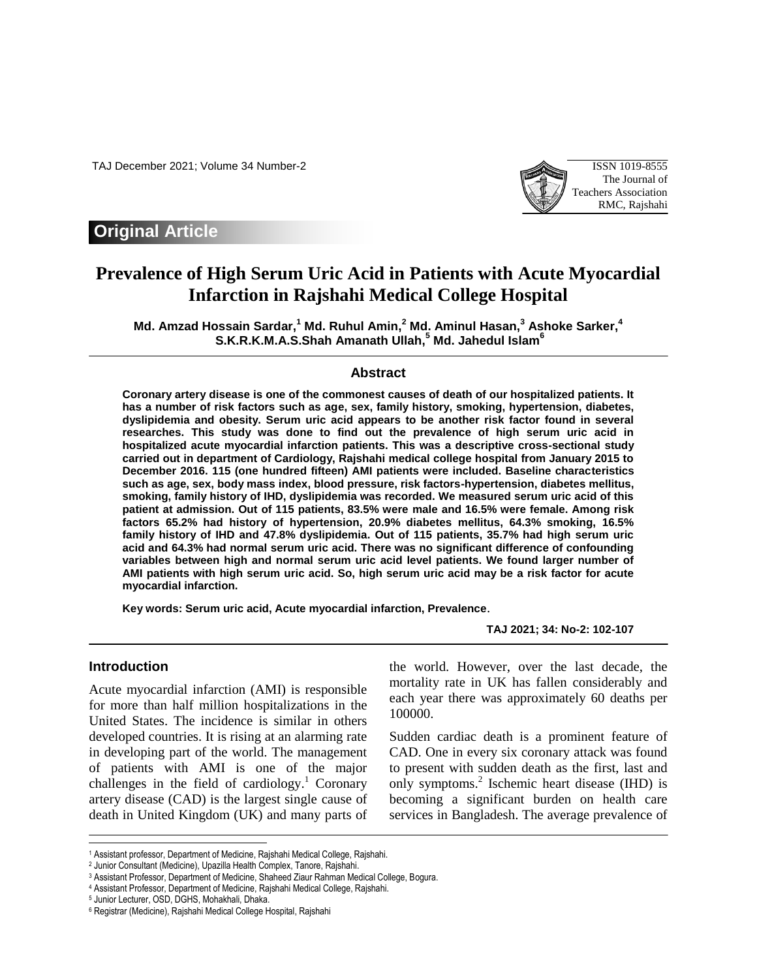TAJ December 2021; Volume 34 Number-2 ISSN 1019-8555



## **Original Article**

# **Prevalence of High Serum Uric Acid in Patients with Acute Myocardial Infarction in Rajshahi Medical College Hospital**

**Md. Amzad Hossain Sardar, <sup>1</sup> Md. Ruhul Amin, <sup>2</sup> Md. Aminul Hasan, <sup>3</sup> Ashoke Sarker, 4 S.K.R.K.M.A.S.Shah Amanath Ullah, <sup>5</sup> Md. Jahedul Islam<sup>6</sup>**

#### **Abstract**

**Coronary artery disease is one of the commonest causes of death of our hospitalized patients. It has a number of risk factors such as age, sex, family history, smoking, hypertension, diabetes, dyslipidemia and obesity. Serum uric acid appears to be another risk factor found in several researches. This study was done to find out the prevalence of high serum uric acid in hospitalized acute myocardial infarction patients. This was a descriptive cross-sectional study carried out in department of Cardiology, Rajshahi medical college hospital from January 2015 to December 2016. 115 (one hundred fifteen) AMI patients were included. Baseline characteristics such as age, sex, body mass index, blood pressure, risk factors-hypertension, diabetes mellitus, smoking, family history of IHD, dyslipidemia was recorded. We measured serum uric acid of this patient at admission. Out of 115 patients, 83.5% were male and 16.5% were female. Among risk factors 65.2% had history of hypertension, 20.9% diabetes mellitus, 64.3% smoking, 16.5% family history of IHD and 47.8% dyslipidemia. Out of 115 patients, 35.7% had high serum uric acid and 64.3% had normal serum uric acid. There was no significant difference of confounding variables between high and normal serum uric acid level patients. We found larger number of AMI patients with high serum uric acid. So, high serum uric acid may be a risk factor for acute myocardial infarction.**

**Key words: Serum uric acid, Acute myocardial infarction, Prevalence**.

**TAJ 2021; 34: No-2: 102-107**

#### **Introduction**

I

Acute myocardial infarction (AMI) is responsible for more than half million hospitalizations in the United States. The incidence is similar in others developed countries. It is rising at an alarming rate in developing part of the world. The management of patients with AMI is one of the major challenges in the field of cardiology. <sup>1</sup> Coronary artery disease (CAD) is the largest single cause of death in United Kingdom (UK) and many parts of

the world. However, over the last decade, the mortality rate in UK has fallen considerably and each year there was approximately 60 deaths per 100000.

Sudden cardiac death is a prominent feature of CAD. One in every six coronary attack was found to present with sudden death as the first, last and only symptoms.<sup>2</sup> Ischemic heart disease (IHD) is becoming a significant burden on health care services in Bangladesh. The average prevalence of

<sup>1</sup> Assistant professor, Department of Medicine, Rajshahi Medical College, Rajshahi.

<sup>2</sup> Junior Consultant (Medicine), Upazilla Health Complex, Tanore, Rajshahi.

<sup>3</sup> Assistant Professor, Department of Medicine, Shaheed Ziaur Rahman Medical College, Bogura.

<sup>4</sup> Assistant Professor, Department of Medicine, Rajshahi Medical College, Rajshahi.

<sup>5</sup> Junior Lecturer, OSD, DGHS, Mohakhali, Dhaka.

<sup>6</sup> Registrar (Medicine), Rajshahi Medical College Hospital, Rajshahi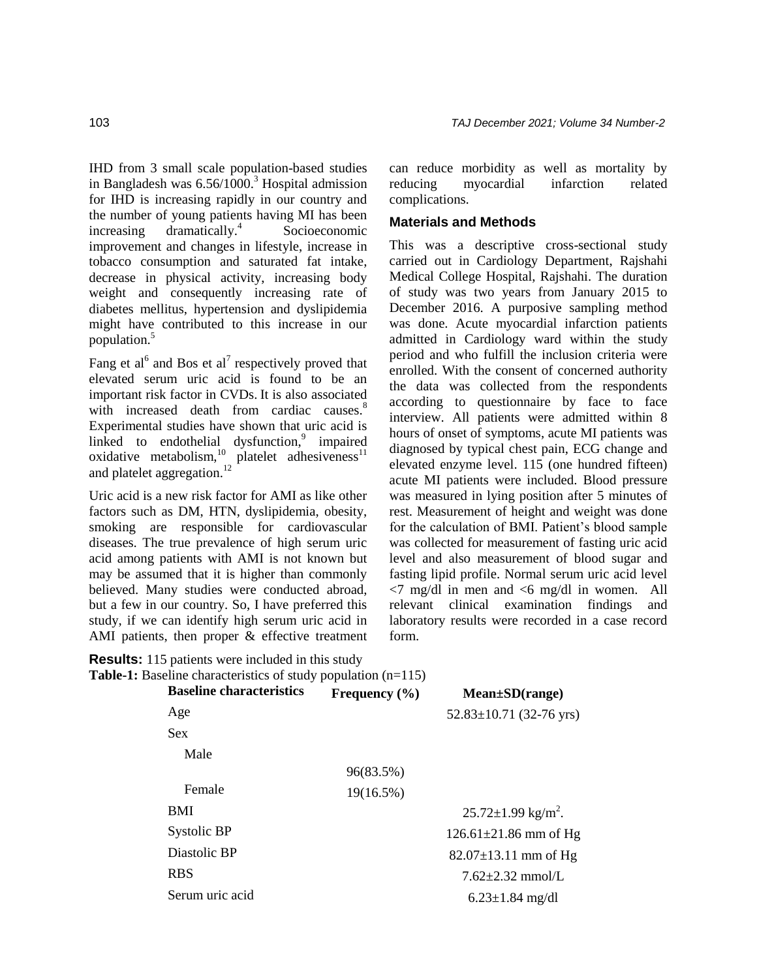IHD from 3 small scale population-based studies in Bangladesh was  $6.56/1000$ .<sup>3</sup> Hospital admission for IHD is increasing rapidly in our country and the number of young patients having MI has been  $increasing$  dramatically.<sup>4</sup> Socioeconomic improvement and changes in lifestyle, increase in tobacco consumption and saturated fat intake, decrease in physical activity, increasing body weight and consequently increasing rate of diabetes mellitus, hypertension and dyslipidemia might have contributed to this increase in our population.<sup>5</sup>

Fang et al<sup>6</sup> and Bos et al<sup>7</sup> respectively proved that elevated serum uric acid is found to be an important risk factor in CVDs. It is also associated with increased death from cardiac causes.<sup>8</sup> Experimental studies have shown that uric acid is linked to endothelial dysfunction, $9$  impaired oxidative metabolism, $10$  platelet adhesiveness<sup>11</sup> and platelet aggregation.<sup>12</sup>

Uric acid is a new risk factor for AMI as like other factors such as DM, HTN, dyslipidemia, obesity, smoking are responsible for cardiovascular diseases. The true prevalence of high serum uric acid among patients with AMI is not known but may be assumed that it is higher than commonly believed. Many studies were conducted abroad, but a few in our country. So, I have preferred this study, if we can identify high serum uric acid in AMI patients, then proper & effective treatment

**Results:** 115 patients were included in this study **Table-1:** Baseline characteristics of study population (n=115)

can reduce morbidity as well as mortality by reducing myocardial infarction related complications.

#### **Materials and Methods**

This was a descriptive cross-sectional study carried out in Cardiology Department, Rajshahi Medical College Hospital, Rajshahi. The duration of study was two years from January 2015 to December 2016. A purposive sampling method was done. Acute myocardial infarction patients admitted in Cardiology ward within the study period and who fulfill the inclusion criteria were enrolled. With the consent of concerned authority the data was collected from the respondents according to questionnaire by face to face interview. All patients were admitted within 8 hours of onset of symptoms, acute MI patients was diagnosed by typical chest pain, ECG change and elevated enzyme level. 115 (one hundred fifteen) acute MI patients were included. Blood pressure was measured in lying position after 5 minutes of rest. Measurement of height and weight was done for the calculation of BMI. Patient's blood sample was collected for measurement of fasting uric acid level and also measurement of blood sugar and fasting lipid profile. Normal serum uric acid level  $\langle 7 \text{ mg/dl} \rangle$  in men and  $\langle 6 \text{ mg/dl} \rangle$  in women. All relevant clinical examination findings and laboratory results were recorded in a case record form.

| <b>Baseline characteristics</b> | Frequency $(\% )$ | $Mean \pm SD(range)$                 |
|---------------------------------|-------------------|--------------------------------------|
| Age                             |                   | $52.83 \pm 10.71$ (32-76 yrs)        |
| <b>Sex</b>                      |                   |                                      |
| Male                            |                   |                                      |
|                                 | 96(83.5%)         |                                      |
| Female                          | 19(16.5%)         |                                      |
| <b>BMI</b>                      |                   | $25.72 \pm 1.99$ kg/m <sup>2</sup> . |
| Systolic BP                     |                   | $126.61 \pm 21.86$ mm of Hg          |
| Diastolic BP                    |                   | $82.07 \pm 13.11$ mm of Hg           |
| <b>RBS</b>                      |                   | $7.62 + 2.32$ mmol/L                 |
| Serum uric acid                 |                   | $6.23 \pm 1.84$ mg/dl                |
|                                 |                   |                                      |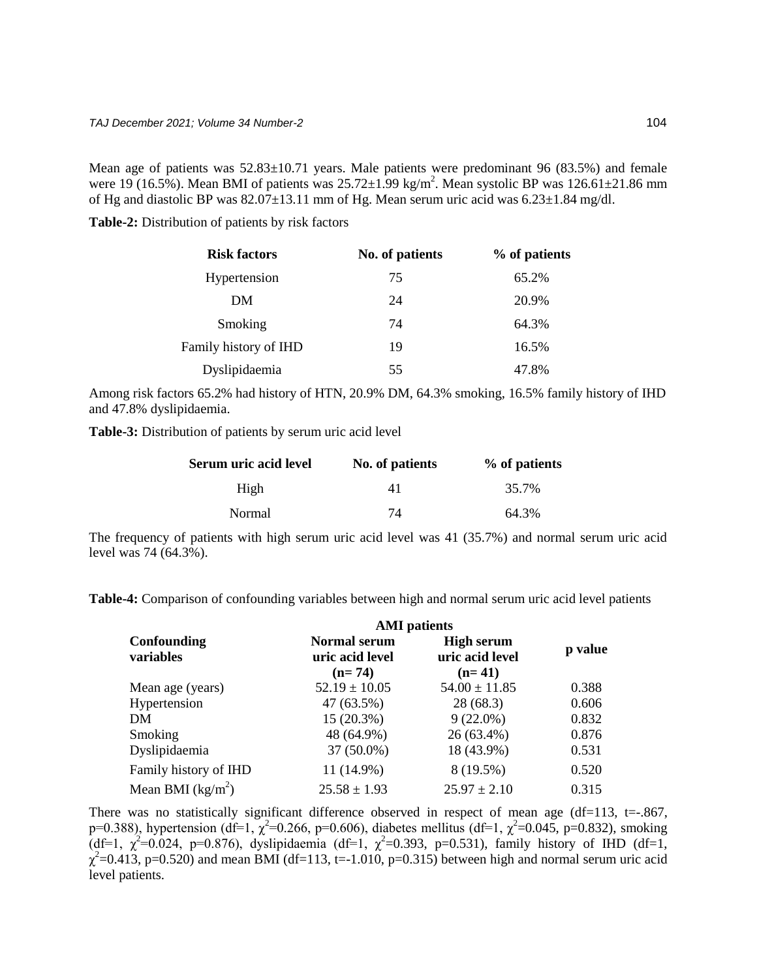Mean age of patients was 52.83±10.71 years. Male patients were predominant 96 (83.5%) and female were 19 (16.5%). Mean BMI of patients was  $25.72 \pm 1.99$  kg/m<sup>2</sup>. Mean systolic BP was  $126.61 \pm 21.86$  mm of Hg and diastolic BP was  $82.07 \pm 13.11$  mm of Hg. Mean serum uric acid was  $6.23 \pm 1.84$  mg/dl.

**Table-2:** Distribution of patients by risk factors

| <b>Risk factors</b>   | No. of patients | % of patients |
|-----------------------|-----------------|---------------|
| Hypertension          | 75              | 65.2%         |
| DM                    | 24              | 20.9%         |
| Smoking               | 74              | 64.3%         |
| Family history of IHD | 19              | 16.5%         |
| Dyslipidaemia         | 55              | 47.8%         |

Among risk factors 65.2% had history of HTN, 20.9% DM, 64.3% smoking, 16.5% family history of IHD and 47.8% dyslipidaemia.

**Table-3:** Distribution of patients by serum uric acid level

| Serum uric acid level | No. of patients | % of patients |
|-----------------------|-----------------|---------------|
| High                  | 41              | 35.7%         |
| Normal                | 74              | 64.3%         |

The frequency of patients with high serum uric acid level was 41 (35.7%) and normal serum uric acid level was 74 (64.3%).

**Table-4:** Comparison of confounding variables between high and normal serum uric acid level patients

|                          | <b>AMI</b> patients                                |                                                  |         |
|--------------------------|----------------------------------------------------|--------------------------------------------------|---------|
| Confounding<br>variables | <b>Normal serum</b><br>uric acid level<br>$(n=74)$ | <b>High serum</b><br>uric acid level<br>$(n=41)$ | p value |
| Mean age (years)         | $52.19 \pm 10.05$                                  | $54.00 \pm 11.85$                                | 0.388   |
| Hypertension             | 47 (63.5%)                                         | 28(68.3)                                         | 0.606   |
| DM                       | $15(20.3\%)$                                       | $9(22.0\%)$                                      | 0.832   |
| Smoking                  | 48 (64.9%)                                         | 26 (63.4%)                                       | 0.876   |
| Dyslipidaemia            | 37 (50.0%)                                         | 18 (43.9%)                                       | 0.531   |
| Family history of IHD    | 11 (14.9%)                                         | 8 (19.5%)                                        | 0.520   |
| Mean BMI $(kg/m2)$       | $25.58 \pm 1.93$                                   | $25.97 \pm 2.10$                                 | 0.315   |

There was no statistically significant difference observed in respect of mean age ( $df=113$ ,  $t=.867$ , p=0.388), hypertension (df=1,  $\chi^2$ =0.266, p=0.606), diabetes mellitus (df=1,  $\chi^2$ =0.045, p=0.832), smoking (df=1,  $\chi^2$ =0.024, p=0.876), dyslipidaemia (df=1,  $\chi^2$ =0.393, p=0.531), family history of IHD (df=1,  $\chi^2$ =0.413, p=0.520) and mean BMI (df=113, t=-1.010, p=0.315) between high and normal serum uric acid level patients.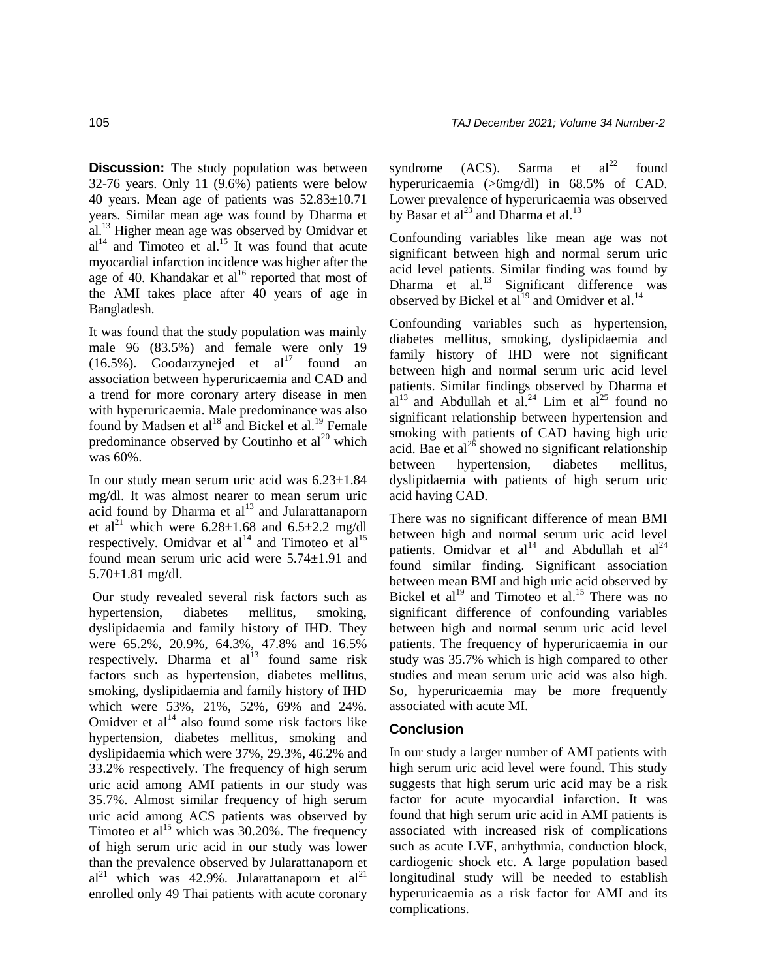**Discussion:** The study population was between 32-76 years. Only 11 (9.6%) patients were below 40 years. Mean age of patients was 52.83±10.71 years. Similar mean age was found by Dharma et al.<sup>13</sup> Higher mean age was observed by Omidvar et  $al<sup>14</sup>$  and Timoteo et al.<sup>15</sup> It was found that acute myocardial infarction incidence was higher after the age of 40. Khandakar et  $al^{16}$  reported that most of the AMI takes place after 40 years of age in Bangladesh.

It was found that the study population was mainly male 96 (83.5%) and female were only 19 (16.5%). Goodarzynejed et  $al^{17}$  found an association between hyperuricaemia and CAD and a trend for more coronary artery disease in men with hyperuricaemia. Male predominance was also found by Madsen et al<sup>18</sup> and Bickel et al.<sup>19</sup> Female predominance observed by Coutinho et  $al^{20}$  which was 60%.

In our study mean serum uric acid was 6.23±1.84 mg/dl. It was almost nearer to mean serum uric acid found by Dharma et  $al<sup>13</sup>$  and Jularattanaporn et al<sup>21</sup> which were  $6.28 \pm 1.68$  and  $6.5 \pm 2.2$  mg/dl respectively. Omidvar et  $al^{14}$  and Timoteo et  $al^{15}$ found mean serum uric acid were 5.74±1.91 and 5.70±1.81 mg/dl.

Our study revealed several risk factors such as hypertension, diabetes mellitus, smoking, dyslipidaemia and family history of IHD. They were 65.2%, 20.9%, 64.3%, 47.8% and 16.5% respectively. Dharma et  $al^{13}$  found same risk factors such as hypertension, diabetes mellitus, smoking, dyslipidaemia and family history of IHD which were 53%, 21%, 52%, 69% and 24%. Omidver et al $^{14}$  also found some risk factors like hypertension, diabetes mellitus, smoking and dyslipidaemia which were 37%, 29.3%, 46.2% and 33.2% respectively. The frequency of high serum uric acid among AMI patients in our study was 35.7%. Almost similar frequency of high serum uric acid among ACS patients was observed by Timoteo et al<sup>15</sup> which was  $30.20\%$ . The frequency of high serum uric acid in our study was lower than the prevalence observed by Jularattanaporn et  $al^{21}$  which was 42.9%. Jularattanaporn et  $al^{21}$ enrolled only 49 Thai patients with acute coronary

syndrome  $(ACS)$ . Sarma et  $al<sup>22</sup>$  found hyperuricaemia (>6mg/dl) in 68.5% of CAD. Lower prevalence of hyperuricaemia was observed by Basar et al<sup>23</sup> and Dharma et al.<sup>13</sup>

Confounding variables like mean age was not significant between high and normal serum uric acid level patients. Similar finding was found by Dharma et al. $^{13}$  Significant difference was observed by Bickel et  $al^{19}$  and Omidver et al.<sup>14</sup>

Confounding variables such as hypertension, diabetes mellitus, smoking, dyslipidaemia and family history of IHD were not significant between high and normal serum uric acid level patients. Similar findings observed by Dharma et  $a^{13}$  and Abdullah et al.<sup>24</sup> Lim et al.<sup>25</sup> found no significant relationship between hypertension and smoking with patients of CAD having high uric acid. Bae et al<sup>26</sup> showed no significant relationship between hypertension, diabetes mellitus, dyslipidaemia with patients of high serum uric acid having CAD.

There was no significant difference of mean BMI between high and normal serum uric acid level patients. Omidvar et al<sup>14</sup> and Abdullah et al<sup>24</sup> found similar finding. Significant association between mean BMI and high uric acid observed by Bickel et al<sup>19</sup> and Timoteo et al.<sup>15</sup> There was no significant difference of confounding variables between high and normal serum uric acid level patients. The frequency of hyperuricaemia in our study was 35.7% which is high compared to other studies and mean serum uric acid was also high. So, hyperuricaemia may be more frequently associated with acute MI.

### **Conclusion**

In our study a larger number of AMI patients with high serum uric acid level were found. This study suggests that high serum uric acid may be a risk factor for acute myocardial infarction. It was found that high serum uric acid in AMI patients is associated with increased risk of complications such as acute LVF, arrhythmia, conduction block, cardiogenic shock etc. A large population based longitudinal study will be needed to establish hyperuricaemia as a risk factor for AMI and its complications.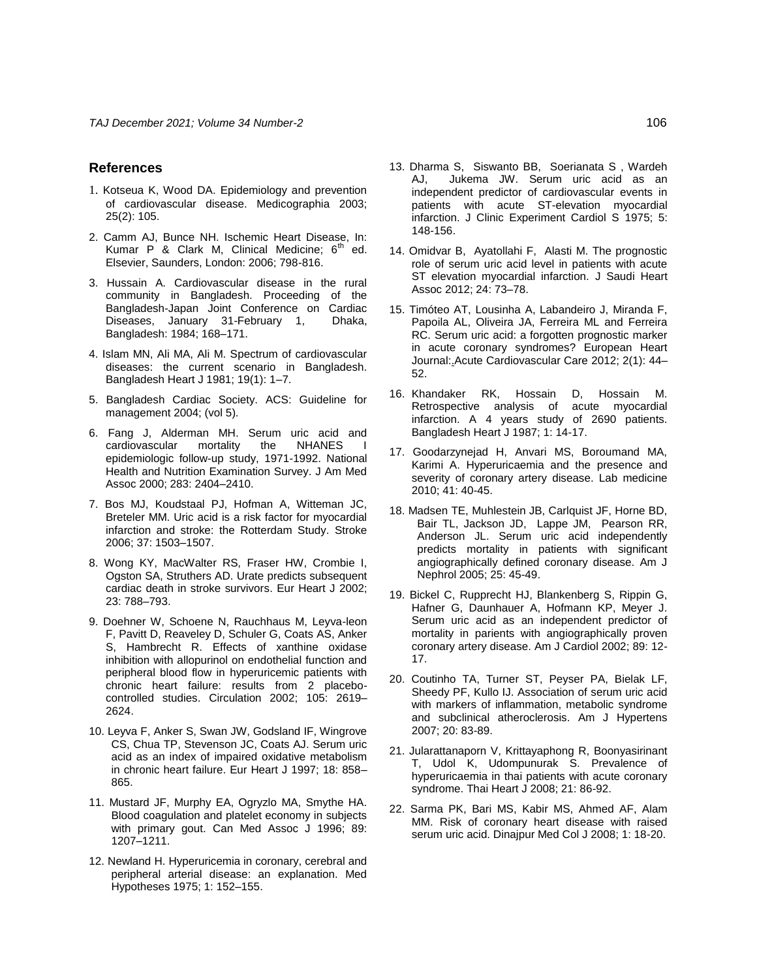#### **References**

- 1. Kotseua K, Wood DA. Epidemiology and prevention of cardiovascular disease. Medicographia 2003; 25(2): 105.
- 2. Camm AJ, Bunce NH. Ischemic Heart Disease, In: Kumar P & Clark M, Clinical Medicine;  $6<sup>th</sup>$  ed. Elsevier, Saunders, London: 2006; 798-816.
- 3. Hussain A. Cardiovascular disease in the rural community in Bangladesh. Proceeding of the Bangladesh-Japan Joint Conference on Cardiac Diseases, January 31-February 1, Bangladesh: 1984; 168–171.
- 4. Islam MN, Ali MA, Ali M. Spectrum of cardiovascular diseases: the current scenario in Bangladesh. Bangladesh Heart J 1981; 19(1): 1–7.
- 5. Bangladesh Cardiac Society. ACS: Guideline for management 2004; (vol 5).
- 6. Fang J, Alderman MH. Serum uric acid and cardiovascular mortality the NHANES I epidemiologic follow-up study, 1971-1992. National Health and Nutrition Examination Survey. J Am Med Assoc 2000; 283: 2404–2410.
- 7. Bos MJ, Koudstaal PJ, Hofman A, Witteman JC, Breteler MM. Uric acid is a risk factor for myocardial infarction and stroke: the Rotterdam Study. Stroke 2006; 37: 1503–1507.
- 8. Wong KY, MacWalter RS, Fraser HW, Crombie I, Ogston SA, Struthers AD. Urate predicts subsequent cardiac death in stroke survivors. Eur Heart J 2002; 23: 788–793.
- 9. Doehner W, Schoene N, Rauchhaus M, Leyva-leon F, Pavitt D, Reaveley D, Schuler G, Coats AS, Anker S, Hambrecht R. Effects of xanthine oxidase inhibition with allopurinol on endothelial function and peripheral blood flow in hyperuricemic patients with chronic heart failure: results from 2 placebocontrolled studies. Circulation 2002; 105: 2619– 2624.
- 10. Leyva F, Anker S, Swan JW, Godsland IF, Wingrove CS, Chua TP, Stevenson JC, Coats AJ. Serum uric acid as an index of impaired oxidative metabolism in chronic heart failure. Eur Heart J 1997; 18: 858– 865.
- 11. Mustard JF, Murphy EA, Ogryzlo MA, Smythe HA. Blood coagulation and platelet economy in subjects with primary gout. Can Med Assoc J 1996; 89: 1207–1211.
- 12. Newland H. Hyperuricemia in coronary, cerebral and peripheral arterial disease: an explanation. Med Hypotheses 1975; 1: 152–155.
- 13. Dharma S, Siswanto BB, Soerianata S , Wardeh AJ, Jukema JW. Serum uric acid as an independent predictor of cardiovascular events in patients with acute ST-elevation myocardial infarction. J Clinic Experiment Cardiol S 1975; 5: 148-156.
- 14. Omidvar B, Ayatollahi F, Alasti M. The prognostic role of serum uric acid level in patients with acute ST elevation myocardial infarction. J Saudi Heart Assoc 2012; 24: 73–78.
- 15. Timóteo AT, Lousinha A, Labandeiro J, Miranda F, Papoila AL, Oliveira JA, Ferreira ML and Ferreira RC. Serum uric acid: a forgotten prognostic marker in acute coronary syndromes? European Heart Journal:.Acute Cardiovascular Care 2012; 2(1): 44– 52.
- 16. Khandaker RK, Hossain D, Hossain M. Retrospective analysis of acute myocardial infarction. A 4 years study of 2690 patients. Bangladesh Heart J 1987; 1: 14-17.
- 17. Goodarzynejad H, Anvari MS, Boroumand MA, Karimi A. Hyperuricaemia and the presence and severity of coronary artery disease. Lab medicine 2010; 41: 40-45.
- 18. Madsen TE, Muhlestein JB, Carlquist JF, Horne BD, Bair TL, Jackson JD, Lappe JM, Pearson RR, Anderson JL. Serum uric acid independently predicts mortality in patients with significant angiographically defined coronary disease. Am J Nephrol 2005; 25: 45-49.
- 19. Bickel C, Rupprecht HJ, Blankenberg S, Rippin G, Hafner G, Daunhauer A, Hofmann KP, Meyer J. Serum uric acid as an independent predictor of mortality in parients with angiographically proven coronary artery disease. Am J Cardiol 2002; 89: 12- 17.
- 20. Coutinho TA, Turner ST, Peyser PA, Bielak LF, Sheedy PF, Kullo IJ. Association of serum uric acid with markers of inflammation, metabolic syndrome and subclinical atheroclerosis. Am J Hypertens 2007; 20: 83-89.
- 21. Jularattanaporn V, Krittayaphong R, Boonyasirinant T, Udol K, Udompunurak S. Prevalence of hyperuricaemia in thai patients with acute coronary syndrome. Thai Heart J 2008; 21: 86-92.
- 22. Sarma PK, Bari MS, Kabir MS, Ahmed AF, Alam MM. Risk of coronary heart disease with raised serum uric acid. Dinajpur Med Col J 2008; 1: 18-20.